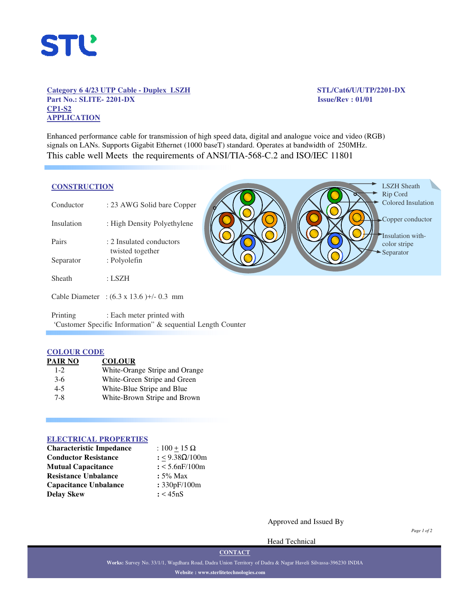

## **Category 6 4/23 UTP Cable - Duplex LSZH STL/Cat6/U/UTP/2201-DX Part No.: SLITE- 2201-DX Issue/Rev : 01/01 CP1-S2 APPLICATION**

**STATE** 

LSZH Sheath

Enhanced performance cable for transmission of high speed data, digital and analogue voice and video (RGB) signals on LANs. Supports Gigabit Ethernet (1000 baseT) standard. Operates at bandwidth of 250MHz. This cable well Meets the requirements of ANSI/TIA-568-C.2 and ISO/IEC 11801

## **CONSTRUCTION**

|            |                                                 |  | Rip Cord                         |
|------------|-------------------------------------------------|--|----------------------------------|
| Conductor  | : 23 AWG Solid bare Copper                      |  | Colored Insulation               |
| Insulation | : High Density Polyethylene                     |  | -Copper conductor                |
| Pairs      | : 2 Insulated conductors                        |  | Insulation with-<br>color stripe |
| Separator  | twisted together<br>: Polyolefin                |  | Separator                        |
| Sheath     | $:$ LSZH                                        |  |                                  |
|            | Cable Diameter : $(6.3 \times 13.6)$ +/- 0.3 mm |  |                                  |
| Printing   | : Each meter printed with                       |  |                                  |

**Contract Contract Contract Contract** 

'Customer Specific Information" & sequential Length Counter

# **COLOUR CODE**

| PAIR NO | <b>COLOUR</b>                  |
|---------|--------------------------------|
| $1 - 2$ | White-Orange Stripe and Orange |
| $3-6$   | White-Green Stripe and Green   |
| $4 - 5$ | White-Blue Stripe and Blue     |
| $7 - 8$ | White-Brown Stripe and Brown   |

### **ELECTRICAL PROPERTIES**

| <b>Characteristic Impedance</b> | : $100 + 15 \Omega$   |
|---------------------------------|-----------------------|
| <b>Conductor Resistance</b>     | : <9.38Ω/100m         |
| <b>Mutual Capacitance</b>       | $: < 5.6$ n $F/100$ m |
| <b>Resistance Unbalance</b>     | $: 5\%$ Max           |
| <b>Capacitance Unbalance</b>    | : 330pF/100m          |
| <b>Delay Skew</b>               | : < 45nS              |

Approved and Issued By

Head Technical

*Page 1 of 2*

**CONTACT**

**Works:** Survey No. 33/1/1, Wagdhara Road, Dadra Union Territory of Dadra & Nagar Haveli Silvassa-396230 INDIA **Website : www.sterlitetechnologies.com**